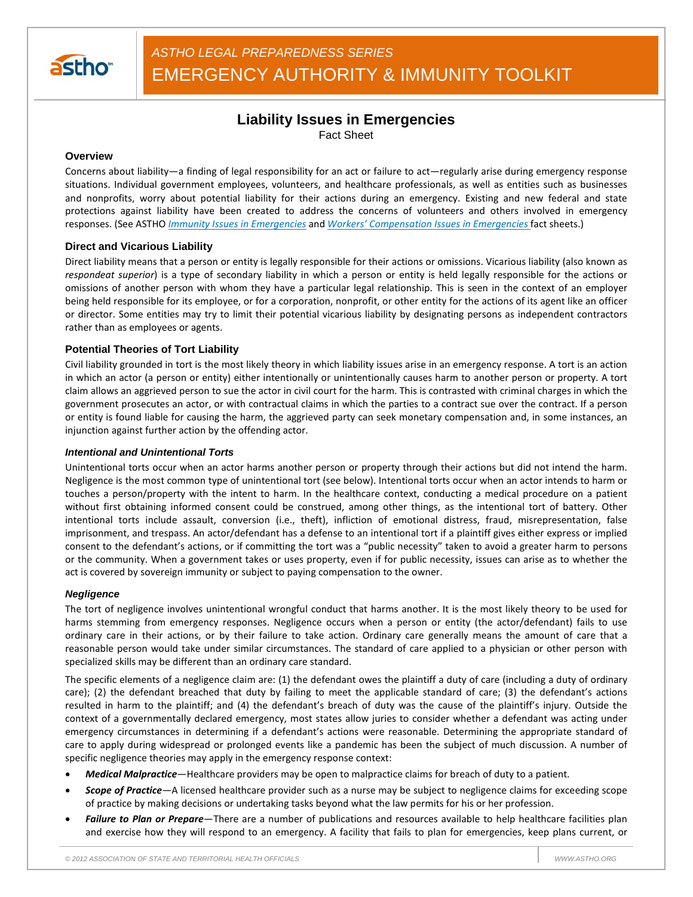

# **Liability Issues in Emergencies**

Fact Sheet

## **Overview**

Concerns about liability—a finding of legal responsibility for an act or failure to act—regularly arise during emergency response situations. Individual government employees, volunteers, and healthcare professionals, as well as entities such as businesses and nonprofits, worry about potential liability for their actions during an emergency. Existing and new federal and state protections against liability have been created to address the concerns of volunteers and others involved in emergency responses. (See ASTHO *Immunity Issues in Emergencies* and *Workers' Compensation Issues in Emergencies* fact sheets.)

## **Direct and Vicarious Liability**

Direct liability means that a person or entity is legally responsible for their actions or omissions. Vicarious liability (also known as *respondeat superior*) is a type of secondary liability in which a person or entity is held legally responsible for the actions or omissions of another person with whom they have a particular legal relationship. This is seen in the context of an employer being held responsible for its employee, or for a corporation, nonprofit, or other entity for the actions of its agent like an officer or director. Some entities may try to limit their potential vicarious liability by designating persons as independent contractors rather than as employees or agents.

## **Potential Theories of Tort Liability**

Civil liability grounded in tort is the most likely theory in which liability issues arise in an emergency response. A tort is an action in which an actor (a person or entity) either intentionally or unintentionally causes harm to another person or property. A tort claim allows an aggrieved person to sue the actor in civil court for the harm. This is contrasted with criminal charges in which the government prosecutes an actor, or with contractual claims in which the parties to a contract sue over the contract. If a person or entity is found liable for causing the harm, the aggrieved party can seek monetary compensation and, in some instances, an injunction against further action by the offending actor.

#### *Intentional and Unintentional Torts*

Unintentional torts occur when an actor harms another person or property through their actions but did not intend the harm. Negligence is the most common type of unintentional tort (see below). Intentional torts occur when an actor intends to harm or touches a person/property with the intent to harm. In the healthcare context, conducting a medical procedure on a patient without first obtaining informed consent could be construed, among other things, as the intentional tort of battery. Other intentional torts include assault, conversion (i.e., theft), infliction of emotional distress, fraud, misrepresentation, false imprisonment, and trespass. An actor/defendant has a defense to an intentional tort if a plaintiff gives either express or implied consent to the defendant's actions, or if committing the tort was a "public necessity" taken to avoid a greater harm to persons or the community. When a government takes or uses property, even if for public necessity, issues can arise as to whether the act is covered by sovereign immunity or subject to paying compensation to the owner.

#### *Negligence*

The tort of negligence involves unintentional wrongful conduct that harms another. It is the most likely theory to be used for harms stemming from emergency responses. Negligence occurs when a person or entity (the actor/defendant) fails to use ordinary care in their actions, or by their failure to take action. Ordinary care generally means the amount of care that a reasonable person would take under similar circumstances. The standard of care applied to a physician or other person with specialized skills may be different than an ordinary care standard.

The specific elements of a negligence claim are: (1) the defendant owes the plaintiff a duty of care (including a duty of ordinary care); (2) the defendant breached that duty by failing to meet the applicable standard of care; (3) the defendant's actions resulted in harm to the plaintiff; and (4) the defendant's breach of duty was the cause of the plaintiff's injury. Outside the context of a governmentally declared emergency, most states allow juries to consider whether a defendant was acting under emergency circumstances in determining if a defendant's actions were reasonable. Determining the appropriate standard of care to apply during widespread or prolonged events like a pandemic has been the subject of much discussion. A number of specific negligence theories may apply in the emergency response context:

- *Medical Malpractice*—Healthcare providers may be open to malpractice claims for breach of duty to a patient.
- *Scope of Practice—*A licensed healthcare provider such as a nurse may be subject to negligence claims for exceeding scope of practice by making decisions or undertaking tasks beyond what the law permits for his or her profession.
- *Failure to Plan or Prepare*—There are a number of publications and resources available to help healthcare facilities plan and exercise how they will respond to an emergency. A facility that fails to plan for emergencies, keep plans current, or